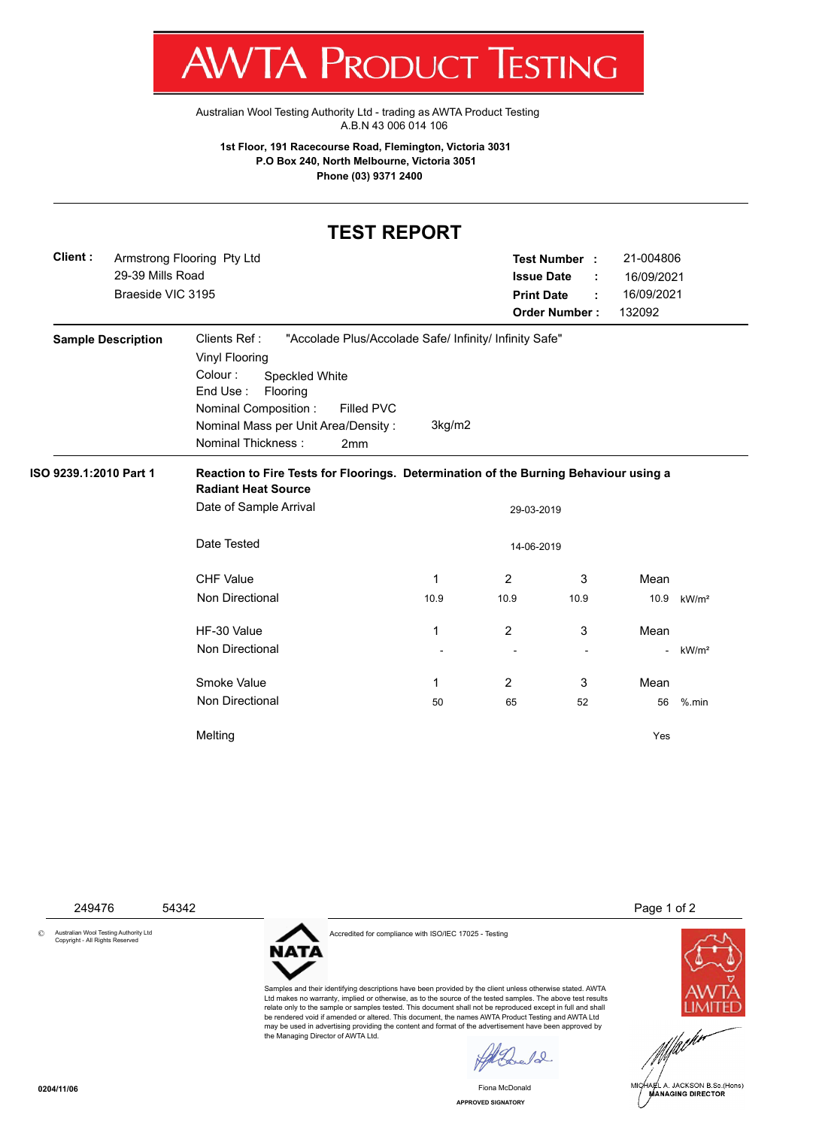

Australian Wool Testing Authority Ltd - trading as AWTA Product Testing A.B.N 43 006 014 106

**1st Floor, 191 Racecourse Road, Flemington, Victoria 3031 P.O Box 240, North Melbourne, Victoria 3051 Phone (03) 9371 2400**

## **TEST REPORT**

| Client:                | 29-39 Mills Road<br>Braeside VIC 3195 | Armstrong Flooring Pty Ltd                                                                                                                                                                                                                                                    |        | <b>Issue Date</b><br><b>Print Date</b> | Test Number :<br>÷<br><b>Order Number:</b> | 21-004806<br>16/09/2021<br>16/09/2021<br>132092 |                   |  |  |  |
|------------------------|---------------------------------------|-------------------------------------------------------------------------------------------------------------------------------------------------------------------------------------------------------------------------------------------------------------------------------|--------|----------------------------------------|--------------------------------------------|-------------------------------------------------|-------------------|--|--|--|
|                        | <b>Sample Description</b>             | Clients Ref:<br>"Accolade Plus/Accolade Safe/ Infinity/ Infinity Safe"<br><b>Vinyl Flooring</b><br>Colour:<br><b>Speckled White</b><br>End Use:<br>Flooring<br>Nominal Composition :<br>Filled PVC<br>Nominal Mass per Unit Area/Density:<br><b>Nominal Thickness:</b><br>2mm | 3kg/m2 |                                        |                                            |                                                 |                   |  |  |  |
| ISO 9239.1:2010 Part 1 |                                       | Reaction to Fire Tests for Floorings. Determination of the Burning Behaviour using a<br><b>Radiant Heat Source</b>                                                                                                                                                            |        |                                        |                                            |                                                 |                   |  |  |  |
|                        |                                       | Date of Sample Arrival                                                                                                                                                                                                                                                        |        |                                        | 29-03-2019                                 |                                                 |                   |  |  |  |
|                        |                                       | Date Tested<br>14-06-2019                                                                                                                                                                                                                                                     |        |                                        |                                            |                                                 |                   |  |  |  |
|                        |                                       | <b>CHF Value</b>                                                                                                                                                                                                                                                              | 1      | $\overline{2}$                         | 3                                          | Mean                                            |                   |  |  |  |
|                        |                                       | Non Directional                                                                                                                                                                                                                                                               | 10.9   | 10.9                                   | 10.9                                       | 10.9                                            | kW/m <sup>2</sup> |  |  |  |
|                        |                                       | HF-30 Value                                                                                                                                                                                                                                                                   | 1      | 2                                      | 3                                          | Mean                                            |                   |  |  |  |
|                        |                                       | <b>Non Directional</b>                                                                                                                                                                                                                                                        |        |                                        | ÷,                                         | $\overline{\phantom{a}}$                        | kW/m <sup>2</sup> |  |  |  |
|                        |                                       | Smoke Value                                                                                                                                                                                                                                                                   | 1      | $\overline{2}$                         | 3                                          | Mean                                            |                   |  |  |  |
|                        |                                       | <b>Non Directional</b>                                                                                                                                                                                                                                                        | 50     | 65                                     | 52                                         | 56                                              | $%$ .min          |  |  |  |
|                        |                                       | Melting                                                                                                                                                                                                                                                                       |        |                                        |                                            | Yes                                             |                   |  |  |  |

249476 54342 Page 1 of 2

© Australian Wool Testing Authority Ltd Copyright - All Rights Reserved

Accredited for compliance with ISO/IEC 17025 - Testing

**NATA** 

Samples and their identifying descriptions have been provided by the client unless otherwise stated. AWTA Ltd makes no warranty, implied or otherwise, as to the source of the tested samples. The above test results relate only to the sample or samples tested. This document shall not be reproduced except in full and shall be rendered void if amended or altered. This document, the names AWTA Product Testing and AWTA Ltd may be used in advertising providing the content and format of the advertisement have been approved by the Managing Director of AWTA Ltd.

 $\ell$ 

**APPROVED SIGNATORY** Fiona McDonald



MICHAEL A. JACKSON B.Sc.(Hons)

**0204/11/06**